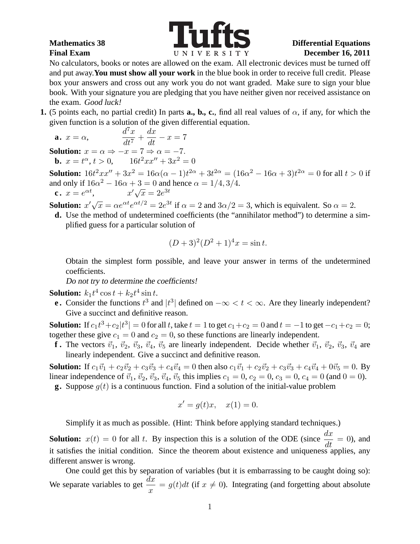

No calculators, books or notes are allowed on the exam. All electronic devices must be turned off and put away.**You must show all your work** in the blue book in order to receive full credit. Please box your answers and cross out any work you do not want graded. Make sure to sign your blue book. With your signature you are pledging that you have neither given nor received assistance on the exam. Good luck!

**1.** (5 points each, no partial credit) In parts **a., b., c.**, find all real values of  $\alpha$ , if any, for which the given function is a solution of the given differential equation.

$$
\mathbf{a.} \ \ x = \alpha, \qquad \qquad \frac{d^7x}{dt^7} + \frac{dx}{dt} - x = 7
$$

**Solution:**  $x = \alpha \Rightarrow -x = 7 \Rightarrow \alpha = -7$ . **b.**  $x = t^{\alpha}, t > 0,$   $16t^2xx'' + 3x^2 = 0$ 

**Solution:**  $16t^2xx'' + 3x^2 = 16\alpha(\alpha - 1)t^{2\alpha} + 3t^{2\alpha} = (16\alpha^2 - 16\alpha + 3)t^{2\alpha} = 0$  for all  $t > 0$  if and only if  $16\alpha^2 - 16\alpha + 3 = 0$  and hence  $\alpha = 1/4, 3/4$ . **c**.  $x = e^{\alpha t}$  $x'\sqrt{x} = 2e^{3t}$ 

**Solution:**  $x'\sqrt{x} = \alpha e^{\alpha t}e^{\alpha t/2} = 2e^{3t}$  if  $\alpha = 2$  and  $3\alpha/2 = 3$ , which is equivalent. So  $\alpha = 2$ .

**d.** Use the method of undetermined coefficients (the "annihilator method") to determine a simplified guess for a particular solution of

$$
(D+3)^2(D^2+1)^4x = \sin t.
$$

Obtain the simplest form possible, and leave your answer in terms of the undetermined coefficients.

Do not try to determine the coefficients!

**Solution:**  $k_1 t^4 \cos t + k_2 t^4 \sin t$ .

**e.** Consider the functions  $t^3$  and  $|t^3|$  defined on  $-\infty < t < \infty$ . Are they linearly independent? Give a succinct and definitive reason.

**Solution:** If  $c_1 t^3 + c_2 |t^3| = 0$  for all t, take  $t = 1$  to get  $c_1 + c_2 = 0$  and  $t = -1$  to get  $-c_1+c_2 = 0$ ; together these give  $c_1 = 0$  and  $c_2 = 0$ , so these functions are linearly independent.

**f**. The vectors  $\vec{v}_1$ ,  $\vec{v}_2$ ,  $\vec{v}_3$ ,  $\vec{v}_4$ ,  $\vec{v}_5$  are linearly independent. Decide whether  $\vec{v}_1$ ,  $\vec{v}_2$ ,  $\vec{v}_3$ ,  $\vec{v}_4$  are linearly independent. Give a succinct and definitive reason.

**Solution:** If  $c_1\vec{v}_1 + c_2\vec{v}_2 + c_3\vec{v}_3 + c_4\vec{v}_4 = 0$  then also  $c_1\vec{v}_1 + c_2\vec{v}_2 + c_3\vec{v}_3 + c_4\vec{v}_4 + 0\vec{v}_5 = 0$ . By linear independence of  $\vec{v}_1$ ,  $\vec{v}_2$ ,  $\vec{v}_3$ ,  $\vec{v}_4$ ,  $\vec{v}_5$  this implies  $c_1 = 0$ ,  $c_2 = 0$ ,  $c_3 = 0$ ,  $c_4 = 0$  (and  $0 = 0$ ).

**g.** Suppose  $q(t)$  is a continuous function. Find a solution of the initial-value problem

$$
x' = g(t)x, \quad x(1) = 0.
$$

Simplify it as much as possible. (Hint: Think before applying standard techniques.)

**Solution:**  $x(t) = 0$  for all t. By inspection this is a solution of the ODE (since  $\frac{dx}{dt} = 0$ ), and it satisfies the initial condition. Since the theorem about existence and uniqueness applies, any different answer is wrong.

One could get this by separation of variables (but it is embarrassing to be caught doing so): We separate variables to get  $\frac{dx}{dt}$  $\frac{dx}{dx} = g(t)dt$  (if  $x \neq 0$ ). Integrating (and forgetting about absolute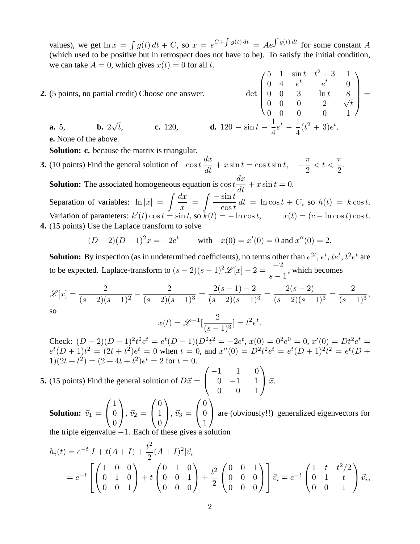values), we get  $\ln x = \int g(t) dt + C$ , so  $x = e^{C + \int g(t) dt} = Ae^{\int g(t) dt}$  for some constant A (which used to be positive but in retrospect does not have to be). To satisfy the initial condition, we can take  $A = 0$ , which gives  $x(t) = 0$  for all t.

**2.** (5 points, no partial credit) Choose one answer.

$$
\det\begin{pmatrix} 5 & 1 & \sin t & t^2 + 3 & 1 \\ 0 & 4 & e^t & e^t & 0 \\ 0 & 0 & 3 & \ln t & 8 \\ 0 & 0 & 0 & 2 & \sqrt{t} \\ 0 & 0 & 0 & 0 & 1 \end{pmatrix}
$$
  
**d.** 120 - sin  $t$  -  $\frac{1}{4}e^t$  -  $\frac{1}{4}(t^2 + 3)e^t$ .

=

**e.** None of the above.

**a.** 5,

**Solution: c.** because the matrix is triangular.

**b.**  $2\sqrt{t}$ .

**3.** (10 points) Find the general solution of  $\cos t \frac{dx}{dt}$  $\frac{du}{dt} + x \sin t = \cos t \sin t, \quad$ π 2  $< t <$ π 2 .

**c.** 120,

**Solution:** The associated homogeneous equation is  $\cos t \frac{dx}{dt} + x \sin t = 0$ . Separation of variables:  $\ln |x| = \int \frac{dx}{x}$  $\boldsymbol{x}$  $=\int \frac{-\sin t}{\cos t}$  $\cos t$  $dt = \ln \cos t + C$ , so  $h(t) = k \cos t$ . Variation of parameters:  $k'(t) \cos t = \sin t$ , so  $k(t) = -\ln \cos t$ ,  $x(t) = (c - \ln \cos t) \cos t$ . **4.** (15 points) Use the Laplace transform to solve

$$
(D-2)(D-1)^2x = -2e^t \qquad \text{with} \quad x(0) = x'(0) = 0 \text{ and } x''(0) = 2.
$$

**Solution:** By inspection (as in undetermined coefficients), no terms other than  $e^{2t}$ ,  $e^t$ ,  $te^t$ ,  $t^2e^t$  are to be expected. Laplace-transform to  $(s-2)(s-1)^2\mathscr{L}[x]-2=\frac{-2}{s-1}$  $s-1$ , which becomes

$$
\mathcal{L}[x] = \frac{2}{(s-2)(s-1)^2} - \frac{2}{(s-2)(s-1)^3} = \frac{2(s-1)-2}{(s-2)(s-1)^3} = \frac{2(s-2)}{(s-2)(s-1)^3} = \frac{2}{(s-1)^3},
$$
so

$$
x(t) = \mathcal{L}^{-1}[\frac{2}{(s-1)^3}] = t^2 e^t.
$$

Check:  $(D-2)(D-1)^2t^2e^t = e^t(D-1)(D^2t^2 = -2e^t, x(0) = 0^2e^0 = 0, x'(0) = Dt^2e^t =$  $e^t(D+1)t^2 = (2t+t^2)e^t = 0$  when  $t = 0$ , and  $x''(0) = D^2t^2e^t = e^t(D+1)^2t^2 = e^t(D+1)$  $1(2t+t^2) = (2+4t+t^2)e^t = 2$  for  $t = 0$ .

**5.** (15 points) Find the general solution of  $D\vec{x} =$  $\sqrt{ }$  $\mathcal{L}$  $-1$  1 0  $0 \t -1 \t 1$  $0 \t 0 \t -1$  $\setminus$  $\int \vec{x}$ .

**Solution:**  $\vec{v}_1$  =  $\sqrt{ }$  $\overline{1}$ 1  $\theta$  $\theta$  $\setminus$  $\Big\},~\vec{v}_2 =$  $\sqrt{ }$  $\overline{1}$  $\theta$ 1  $\theta$  $\setminus$  $\Big\}, \vec{v}_3 =$  $\sqrt{ }$  $\overline{1}$ 0 0 1  $\setminus$ are (obviously!!) generalized eigenvectors for

the triple eigenvalue  $-1$ . Each of these gives a solution

$$
h_i(t) = e^{-t}[I + t(A+I) + \frac{t^2}{2}(A+I)^2]\vec{v}_i
$$
  
=  $e^{-t}\begin{bmatrix} 1 & 0 & 0 \\ 0 & 1 & 0 \\ 0 & 0 & 1 \end{bmatrix} + t\begin{pmatrix} 0 & 1 & 0 \\ 0 & 0 & 1 \\ 0 & 0 & 0 \end{pmatrix} + \frac{t^2}{2}\begin{pmatrix} 0 & 0 & 1 \\ 0 & 0 & 0 \\ 0 & 0 & 0 \end{pmatrix} \vec{v}_i = e^{-t}\begin{pmatrix} 1 & t & t^2/2 \\ 0 & 1 & t \\ 0 & 0 & 1 \end{pmatrix} \vec{v}_i,$